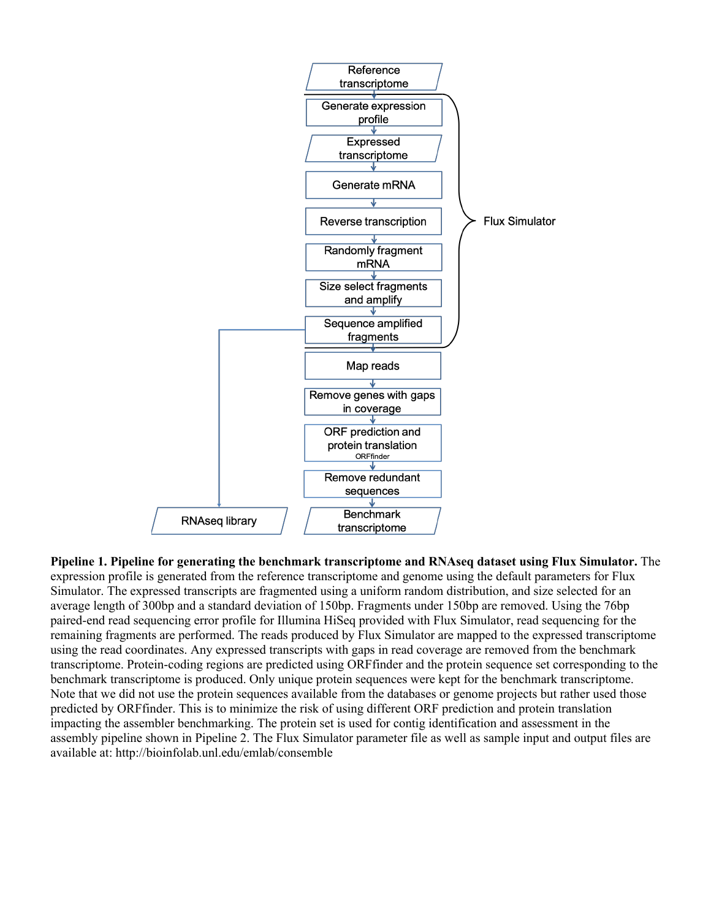

**Pipeline 1. Pipeline for generating the benchmark transcriptome and RNAseq dataset using Flux Simulator.** The expression profile is generated from the reference transcriptome and genome using the default parameters for Flux Simulator. The expressed transcripts are fragmented using a uniform random distribution, and size selected for an average length of 300bp and a standard deviation of 150bp. Fragments under 150bp are removed. Using the 76bp paired-end read sequencing error profile for Illumina HiSeq provided with Flux Simulator, read sequencing for the remaining fragments are performed. The reads produced by Flux Simulator are mapped to the expressed transcriptome using the read coordinates. Any expressed transcripts with gaps in read coverage are removed from the benchmark transcriptome. Protein-coding regions are predicted using ORFfinder and the protein sequence set corresponding to the benchmark transcriptome is produced. Only unique protein sequences were kept for the benchmark transcriptome. Note that we did not use the protein sequences available from the databases or genome projects but rather used those predicted by ORFfinder. This is to minimize the risk of using different ORF prediction and protein translation impacting the assembler benchmarking. The protein set is used for contig identification and assessment in the assembly pipeline shown in Pipeline 2. The Flux Simulator parameter file as well as sample input and output files are available at: http://bioinfolab.unl.edu/emlab/consemble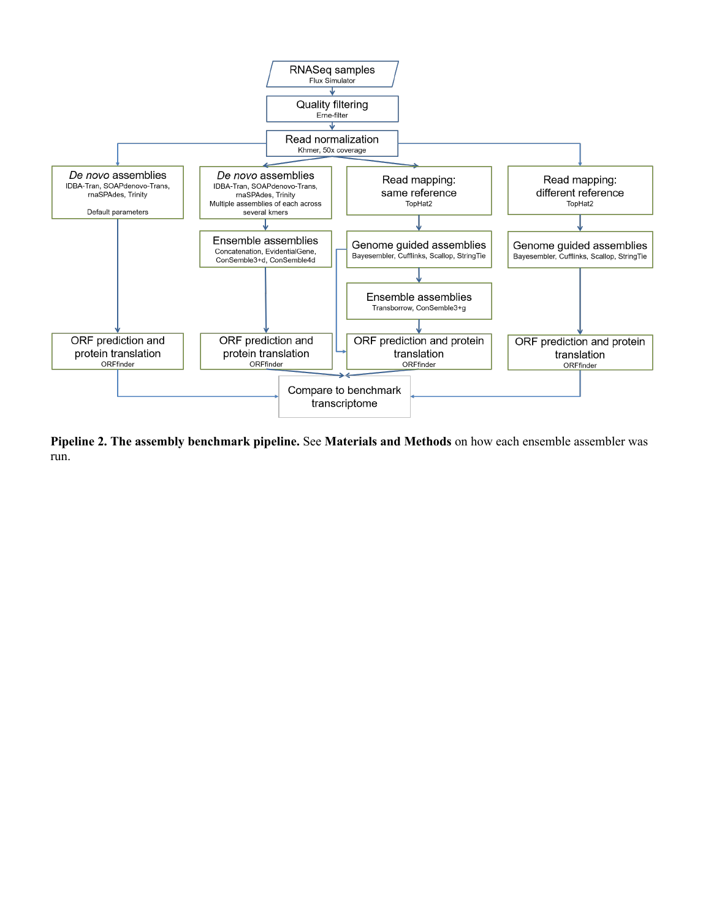

**Pipeline 2. The assembly benchmark pipeline.** See **Materials and Methods** on how each ensemble assembler was run.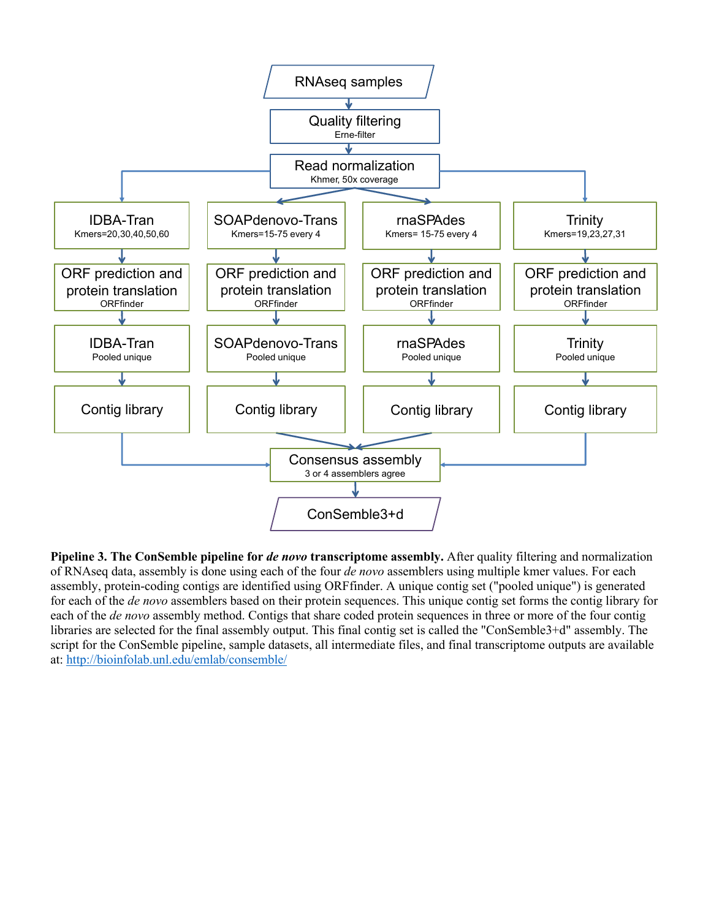

Pipeline 3. The ConSemble pipeline for *de novo* transcriptome assembly. After quality filtering and normalization of RNAseq data, assembly is done using each of the four *de novo* assemblers using multiple kmer values. For each assembly, protein-coding contigs are identified using ORFfinder. A unique contig set ("pooled unique") is generated for each of the *de novo* assemblers based on their protein sequences. This unique contig set forms the contig library for each of the *de novo* assembly method. Contigs that share coded protein sequences in three or more of the four contig libraries are selected for the final assembly output. This final contig set is called the "ConSemble3+d" assembly. The script for the ConSemble pipeline, sample datasets, all intermediate files, and final transcriptome outputs are available at: http://bioinfolab.unl.edu/emlab/consemble/